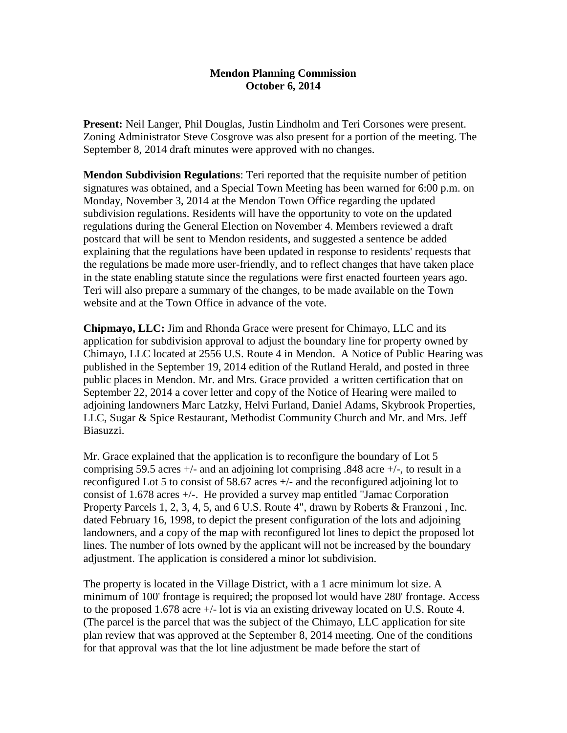## **Mendon Planning Commission October 6, 2014**

**Present:** Neil Langer, Phil Douglas, Justin Lindholm and Teri Corsones were present. Zoning Administrator Steve Cosgrove was also present for a portion of the meeting. The September 8, 2014 draft minutes were approved with no changes.

**Mendon Subdivision Regulations**: Teri reported that the requisite number of petition signatures was obtained, and a Special Town Meeting has been warned for 6:00 p.m. on Monday, November 3, 2014 at the Mendon Town Office regarding the updated subdivision regulations. Residents will have the opportunity to vote on the updated regulations during the General Election on November 4. Members reviewed a draft postcard that will be sent to Mendon residents, and suggested a sentence be added explaining that the regulations have been updated in response to residents' requests that the regulations be made more user-friendly, and to reflect changes that have taken place in the state enabling statute since the regulations were first enacted fourteen years ago. Teri will also prepare a summary of the changes, to be made available on the Town website and at the Town Office in advance of the vote.

**Chipmayo, LLC:** Jim and Rhonda Grace were present for Chimayo, LLC and its application for subdivision approval to adjust the boundary line for property owned by Chimayo, LLC located at 2556 U.S. Route 4 in Mendon. A Notice of Public Hearing was published in the September 19, 2014 edition of the Rutland Herald, and posted in three public places in Mendon. Mr. and Mrs. Grace provided a written certification that on September 22, 2014 a cover letter and copy of the Notice of Hearing were mailed to adjoining landowners Marc Latzky, Helvi Furland, Daniel Adams, Skybrook Properties, LLC, Sugar & Spice Restaurant, Methodist Community Church and Mr. and Mrs. Jeff Biasuzzi.

Mr. Grace explained that the application is to reconfigure the boundary of Lot 5 comprising 59.5 acres +/- and an adjoining lot comprising .848 acre +/-, to result in a reconfigured Lot 5 to consist of 58.67 acres +/- and the reconfigured adjoining lot to consist of 1.678 acres +/-. He provided a survey map entitled "Jamac Corporation Property Parcels 1, 2, 3, 4, 5, and 6 U.S. Route 4", drawn by Roberts & Franzoni , Inc. dated February 16, 1998, to depict the present configuration of the lots and adjoining landowners, and a copy of the map with reconfigured lot lines to depict the proposed lot lines. The number of lots owned by the applicant will not be increased by the boundary adjustment. The application is considered a minor lot subdivision.

The property is located in the Village District, with a 1 acre minimum lot size. A minimum of 100' frontage is required; the proposed lot would have 280' frontage. Access to the proposed 1.678 acre +/- lot is via an existing driveway located on U.S. Route 4. (The parcel is the parcel that was the subject of the Chimayo, LLC application for site plan review that was approved at the September 8, 2014 meeting. One of the conditions for that approval was that the lot line adjustment be made before the start of